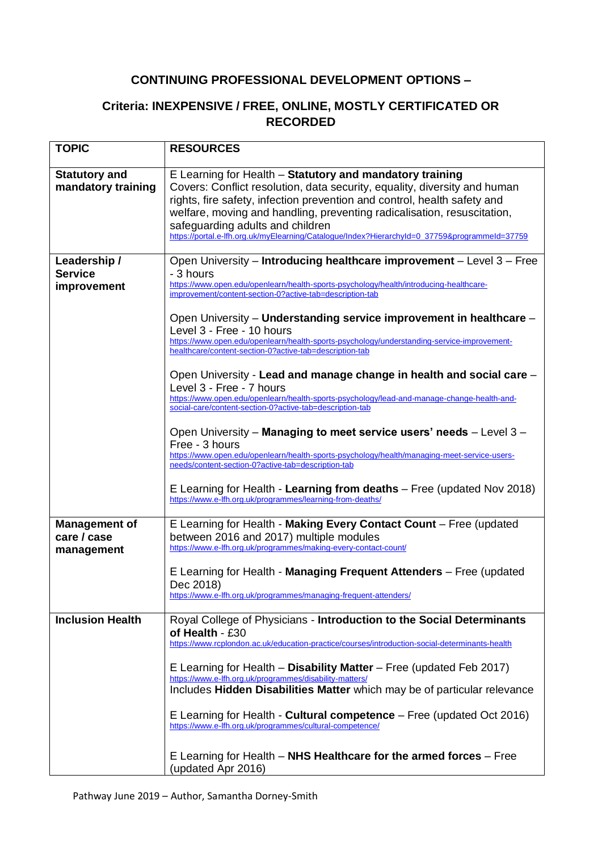## **CONTINUING PROFESSIONAL DEVELOPMENT OPTIONS –**

## **Criteria: INEXPENSIVE / FREE, ONLINE, MOSTLY CERTIFICATED OR RECORDED**

| <b>TOPIC</b>                                      | <b>RESOURCES</b>                                                                                                                                                                                                                                                                                                                                                                                                                  |
|---------------------------------------------------|-----------------------------------------------------------------------------------------------------------------------------------------------------------------------------------------------------------------------------------------------------------------------------------------------------------------------------------------------------------------------------------------------------------------------------------|
| <b>Statutory and</b><br>mandatory training        | E Learning for Health - Statutory and mandatory training<br>Covers: Conflict resolution, data security, equality, diversity and human<br>rights, fire safety, infection prevention and control, health safety and<br>welfare, moving and handling, preventing radicalisation, resuscitation,<br>safeguarding adults and children<br>https://portal.e-lfh.org.uk/myElearning/Catalogue/Index?HierarchyId=0_37759&programmeId=37759 |
| Leadership /<br><b>Service</b><br>improvement     | Open University - Introducing healthcare improvement - Level 3 - Free<br>- 3 hours<br>https://www.open.edu/openlearn/health-sports-psychology/health/introducing-healthcare-<br>improvement/content-section-0?active-tab=description-tab                                                                                                                                                                                          |
|                                                   | Open University – Understanding service improvement in healthcare –<br>Level 3 - Free - 10 hours<br>https://www.open.edu/openlearn/health-sports-psychology/understanding-service-improvement-<br>healthcare/content-section-0?active-tab=description-tab                                                                                                                                                                         |
|                                                   | Open University - Lead and manage change in health and social care -<br>Level 3 - Free - 7 hours<br>https://www.open.edu/openlearn/health-sports-psychology/lead-and-manage-change-health-and-<br>social-care/content-section-0?active-tab=description-tab                                                                                                                                                                        |
|                                                   | Open University - Managing to meet service users' needs - Level 3 -<br>Free - 3 hours<br>https://www.open.edu/openlearn/health-sports-psychology/health/managing-meet-service-users-<br>needs/content-section-0?active-tab=description-tab                                                                                                                                                                                        |
|                                                   | E Learning for Health - Learning from deaths - Free (updated Nov 2018)<br>https://www.e-lfh.org.uk/programmes/learning-from-deaths/                                                                                                                                                                                                                                                                                               |
| <b>Management of</b><br>care / case<br>management | E Learning for Health - Making Every Contact Count - Free (updated<br>between 2016 and 2017) multiple modules<br>https://www.e-lfh.org.uk/programmes/making-every-contact-count/                                                                                                                                                                                                                                                  |
|                                                   | E Learning for Health - Managing Frequent Attenders - Free (updated<br>Dec 2018)<br>https://www.e-lfh.org.uk/programmes/managing-frequent-attenders/                                                                                                                                                                                                                                                                              |
| <b>Inclusion Health</b>                           | Royal College of Physicians - Introduction to the Social Determinants<br>of Health - £30<br>https://www.rcplondon.ac.uk/education-practice/courses/introduction-social-determinants-health                                                                                                                                                                                                                                        |
|                                                   | E Learning for Health $-$ Disability Matter $-$ Free (updated Feb 2017)<br>https://www.e-lfh.org.uk/programmes/disability-matters/<br>Includes Hidden Disabilities Matter which may be of particular relevance                                                                                                                                                                                                                    |
|                                                   | E Learning for Health - <b>Cultural competence</b> – Free (updated Oct 2016)<br>https://www.e-lfh.org.uk/programmes/cultural-competence/                                                                                                                                                                                                                                                                                          |
|                                                   | E Learning for Health $-$ NHS Healthcare for the armed forces $-$ Free<br>(updated Apr 2016)                                                                                                                                                                                                                                                                                                                                      |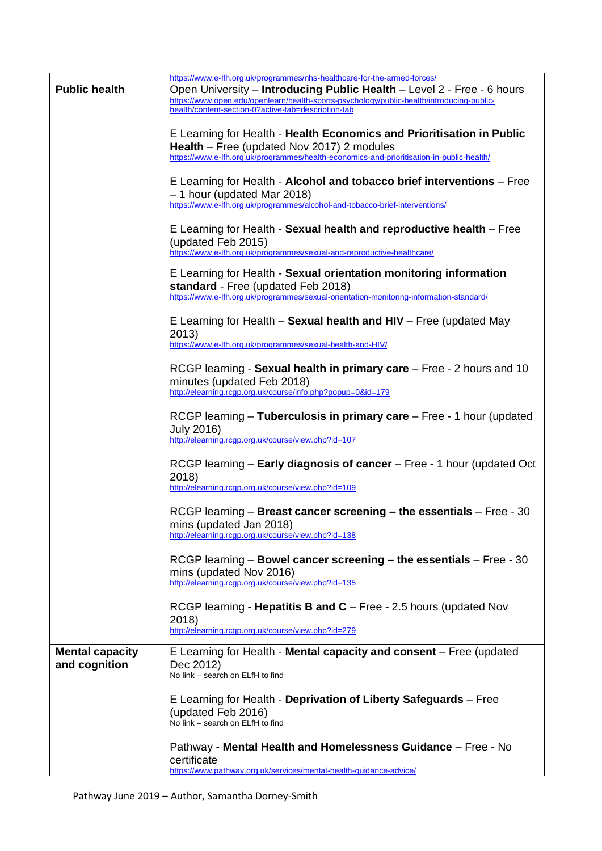|                        | https://www.e-lfh.org.uk/programmes/nhs-healthcare-for-the-armed-forces/                  |
|------------------------|-------------------------------------------------------------------------------------------|
| <b>Public health</b>   | Open University - Introducing Public Health - Level 2 - Free - 6 hours                    |
|                        | https://www.open.edu/openlearn/health-sports-psychology/public-health/introducing-public- |
|                        | health/content-section-0?active-tab=description-tab                                       |
|                        |                                                                                           |
|                        | E Learning for Health - Health Economics and Prioritisation in Public                     |
|                        | <b>Health</b> – Free (updated Nov 2017) 2 modules                                         |
|                        | https://www.e-lfh.org.uk/programmes/health-economics-and-prioritisation-in-public-health/ |
|                        |                                                                                           |
|                        | E Learning for Health - Alcohol and tobacco brief interventions - Free                    |
|                        | $-1$ hour (updated Mar 2018)                                                              |
|                        | https://www.e-lfh.org.uk/programmes/alcohol-and-tobacco-brief-interventions/              |
|                        |                                                                                           |
|                        | E Learning for Health - Sexual health and reproductive health - Free                      |
|                        | (updated Feb 2015)                                                                        |
|                        | https://www.e-lfh.org.uk/programmes/sexual-and-reproductive-healthcare/                   |
|                        |                                                                                           |
|                        | E Learning for Health - Sexual orientation monitoring information                         |
|                        | standard - Free (updated Feb 2018)                                                        |
|                        | https://www.e-lfh.org.uk/programmes/sexual-orientation-monitoring-information-standard/   |
|                        |                                                                                           |
|                        | E Learning for Health $-$ Sexual health and HIV $-$ Free (updated May                     |
|                        | 2013)                                                                                     |
|                        | https://www.e-lfh.org.uk/programmes/sexual-health-and-HIV/                                |
|                        |                                                                                           |
|                        | RCGP learning - Sexual health in primary care - Free - 2 hours and 10                     |
|                        | minutes (updated Feb 2018)                                                                |
|                        | http://elearning.rcgp.org.uk/course/info.php?popup=0&id=179                               |
|                        |                                                                                           |
|                        | RCGP learning - Tuberculosis in primary care - Free - 1 hour (updated                     |
|                        | <b>July 2016)</b>                                                                         |
|                        | http://elearning.rcqp.org.uk/course/view.php?id=107                                       |
|                        |                                                                                           |
|                        | RCGP learning - Early diagnosis of cancer - Free - 1 hour (updated Oct                    |
|                        | 2018)                                                                                     |
|                        | http://elearning.rcgp.org.uk/course/view.php?id=109                                       |
|                        |                                                                                           |
|                        | RCGP learning – Breast cancer screening – the essentials – Free - 30                      |
|                        |                                                                                           |
|                        | mins (updated Jan 2018)<br>http://elearning.rcgp.org.uk/course/view.php?id=138            |
|                        |                                                                                           |
|                        |                                                                                           |
|                        | RCGP learning – Bowel cancer screening – the essentials – Free - 30                       |
|                        | mins (updated Nov 2016)<br>http://elearning.rcgp.org.uk/course/view.php?id=135            |
|                        |                                                                                           |
|                        |                                                                                           |
|                        | RCGP learning - Hepatitis B and C - Free - 2.5 hours (updated Nov                         |
|                        | 2018)                                                                                     |
|                        | http://elearning.rcgp.org.uk/course/view.php?id=279                                       |
| <b>Mental capacity</b> | E Learning for Health - Mental capacity and consent - Free (updated                       |
|                        |                                                                                           |
| and cognition          | Dec 2012)<br>No link - search on ELfH to find                                             |
|                        |                                                                                           |
|                        | E Learning for Health - Deprivation of Liberty Safeguards - Free                          |
|                        |                                                                                           |
|                        | (updated Feb 2016)<br>No link - search on ELfH to find                                    |
|                        |                                                                                           |
|                        | Pathway - Mental Health and Homelessness Guidance - Free - No                             |
|                        |                                                                                           |
|                        | certificate                                                                               |
|                        | https://www.pathway.org.uk/services/mental-health-guidance-advice/                        |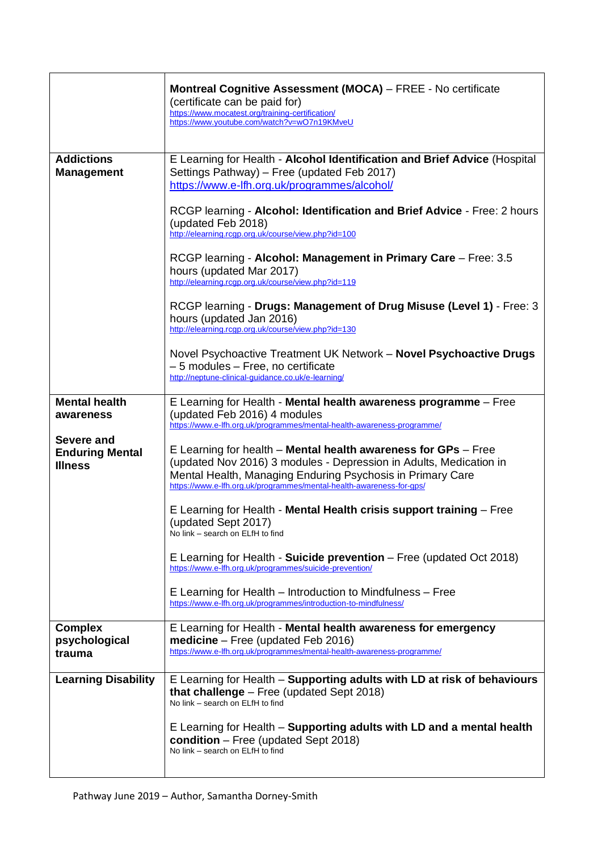|                                                        | Montreal Cognitive Assessment (MOCA) - FREE - No certificate<br>(certificate can be paid for)<br>https://www.mocatest.org/training-certification/<br>https://www.youtube.com/watch?v=wO7n19KMveU                                                                               |
|--------------------------------------------------------|--------------------------------------------------------------------------------------------------------------------------------------------------------------------------------------------------------------------------------------------------------------------------------|
| <b>Addictions</b><br><b>Management</b>                 | E Learning for Health - Alcohol Identification and Brief Advice (Hospital<br>Settings Pathway) - Free (updated Feb 2017)<br>https://www.e-lfh.org.uk/programmes/alcohol/                                                                                                       |
|                                                        | RCGP learning - Alcohol: Identification and Brief Advice - Free: 2 hours<br>(updated Feb 2018)<br>http://elearning.rcgp.org.uk/course/view.php?id=100                                                                                                                          |
|                                                        | RCGP learning - Alcohol: Management in Primary Care - Free: 3.5<br>hours (updated Mar 2017)<br>http://elearning.rcgp.org.uk/course/view.php?id=119                                                                                                                             |
|                                                        | RCGP learning - Drugs: Management of Drug Misuse (Level 1) - Free: 3<br>hours (updated Jan 2016)<br>http://elearning.rcgp.org.uk/course/view.php?id=130                                                                                                                        |
|                                                        | Novel Psychoactive Treatment UK Network - Novel Psychoactive Drugs<br>- 5 modules - Free, no certificate<br>http://neptune-clinical-guidance.co.uk/e-learning/                                                                                                                 |
| <b>Mental health</b><br>awareness                      | E Learning for Health - Mental health awareness programme - Free<br>(updated Feb 2016) 4 modules<br>https://www.e-lfh.org.uk/programmes/mental-health-awareness-programme/                                                                                                     |
| Severe and<br><b>Enduring Mental</b><br><b>Illness</b> | E Learning for health $-$ Mental health awareness for GPs $-$ Free<br>(updated Nov 2016) 3 modules - Depression in Adults, Medication in<br>Mental Health, Managing Enduring Psychosis in Primary Care<br>https://www.e-lfh.org.uk/programmes/mental-health-awareness-for-gps/ |
|                                                        | E Learning for Health - Mental Health crisis support training - Free<br>(updated Sept 2017)<br>No link - search on ELfH to find                                                                                                                                                |
|                                                        | E Learning for Health - Suicide prevention – Free (updated Oct 2018)<br>https://www.e-lfh.org.uk/programmes/suicide-prevention/                                                                                                                                                |
|                                                        | E Learning for Health - Introduction to Mindfulness - Free<br>https://www.e-lfh.org.uk/programmes/introduction-to-mindfulness/                                                                                                                                                 |
| <b>Complex</b><br>psychological<br>trauma              | E Learning for Health - Mental health awareness for emergency<br>$medicine – Free (updated Feb 2016)$<br>https://www.e-lfh.org.uk/programmes/mental-health-awareness-programme/                                                                                                |
| <b>Learning Disability</b>                             | E Learning for Health - Supporting adults with LD at risk of behaviours<br>that challenge $-$ Free (updated Sept 2018)<br>No link - search on ELfH to find                                                                                                                     |
|                                                        | E Learning for Health - Supporting adults with LD and a mental health<br>condition - Free (updated Sept 2018)<br>No link - search on ELfH to find                                                                                                                              |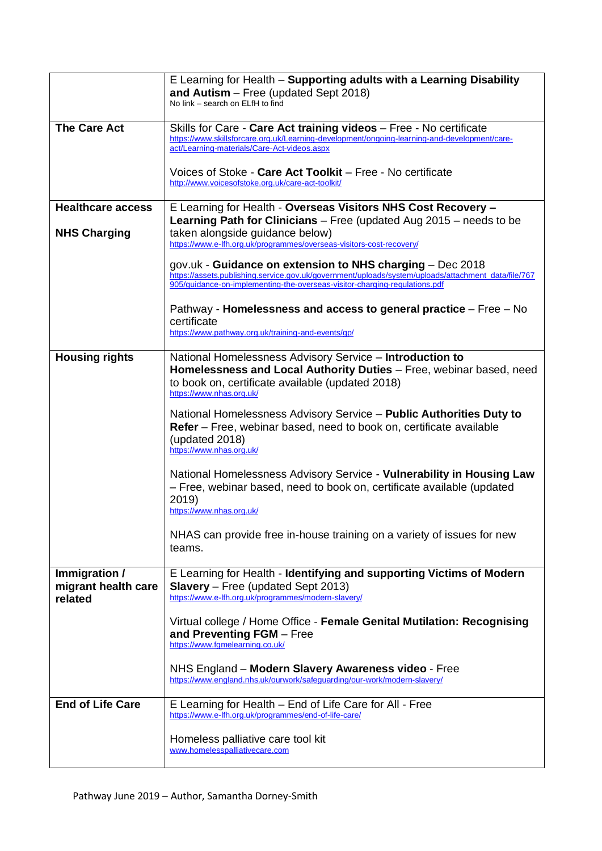|                                                 | E Learning for Health - Supporting adults with a Learning Disability<br>and Autism $-$ Free (updated Sept 2018)                                                                                                                                  |
|-------------------------------------------------|--------------------------------------------------------------------------------------------------------------------------------------------------------------------------------------------------------------------------------------------------|
|                                                 | No link – search on ELfH to find                                                                                                                                                                                                                 |
| <b>The Care Act</b>                             | Skills for Care - Care Act training videos - Free - No certificate<br>https://www.skillsforcare.org.uk/Learning-development/ongoing-learning-and-development/care-<br>act/Learning-materials/Care-Act-videos.aspx                                |
|                                                 | Voices of Stoke - Care Act Toolkit – Free - No certificate<br>http://www.voicesofstoke.org.uk/care-act-toolkit/                                                                                                                                  |
| <b>Healthcare access</b>                        | E Learning for Health - Overseas Visitors NHS Cost Recovery -                                                                                                                                                                                    |
| <b>NHS Charging</b>                             | Learning Path for Clinicians $-$ Free (updated Aug 2015 $-$ needs to be<br>taken alongside guidance below)<br>https://www.e-lfh.org.uk/programmes/overseas-visitors-cost-recovery/                                                               |
|                                                 | gov.uk - Guidance on extension to NHS charging $-$ Dec 2018<br>https://assets.publishing.service.gov.uk/government/uploads/system/uploads/attachment_data/file/767<br>905/guidance-on-implementing-the-overseas-visitor-charging-regulations.pdf |
|                                                 | Pathway - <b>Homelessness and access to general practice</b> – Free – No<br>certificate                                                                                                                                                          |
|                                                 | https://www.pathway.org.uk/training-and-events/gp/                                                                                                                                                                                               |
| <b>Housing rights</b>                           | National Homelessness Advisory Service - Introduction to<br>Homelessness and Local Authority Duties - Free, webinar based, need<br>to book on, certificate available (updated 2018)<br>https://www.nhas.org.uk/                                  |
|                                                 | National Homelessness Advisory Service - Public Authorities Duty to<br>Refer – Free, webinar based, need to book on, certificate available<br>(updated 2018)<br>https://www.nhas.org.uk/                                                         |
|                                                 | National Homelessness Advisory Service - Vulnerability in Housing Law<br>- Free, webinar based, need to book on, certificate available (updated<br>2019)<br>https://www.nhas.org.uk/                                                             |
|                                                 | NHAS can provide free in-house training on a variety of issues for new<br>teams.                                                                                                                                                                 |
| Immigration /<br>migrant health care<br>related | E Learning for Health - Identifying and supporting Victims of Modern<br><b>Slavery</b> – Free (updated Sept 2013)<br>https://www.e-lfh.org.uk/programmes/modern-slavery/                                                                         |
|                                                 | Virtual college / Home Office - Female Genital Mutilation: Recognising<br>and Preventing FGM - Free<br>https://www.fqmelearning.co.uk/                                                                                                           |
|                                                 | NHS England – Modern Slavery Awareness video - Free<br>https://www.england.nhs.uk/ourwork/safequarding/our-work/modern-slavery/                                                                                                                  |
| <b>End of Life Care</b>                         | E Learning for Health – End of Life Care for All - Free<br>https://www.e-lfh.org.uk/programmes/end-of-life-care/                                                                                                                                 |
|                                                 | Homeless palliative care tool kit<br>www.homelesspalliativecare.com                                                                                                                                                                              |